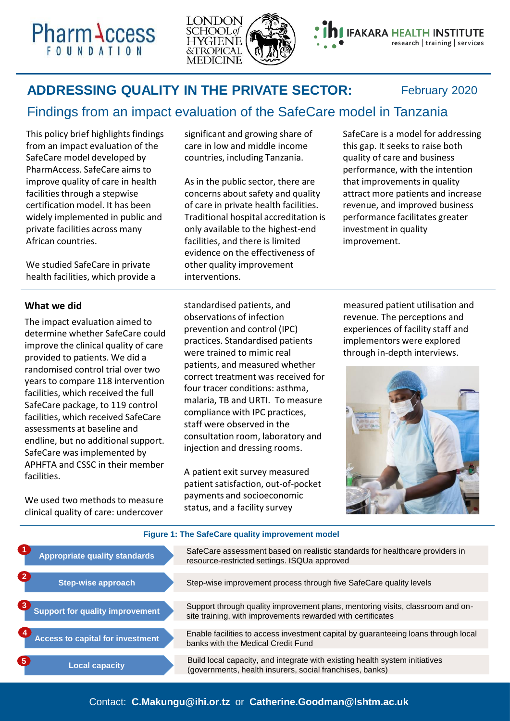**Pharm Access** 



## **ADDRESSING QUALITY IN THE PRIVATE SECTOR:**

February 2020

# Findings from an impact evaluation of the SafeCare model in Tanzania

This policy brief highlights findings from an impact evaluation of the SafeCare model developed by PharmAccess. SafeCare aims to improve quality of care in health facilities through a stepwise certification model. It has been widely implemented in public and private facilities across many African countries.

We studied SafeCare in private health facilities, which provide a significant and growing share of care in low and middle income countries, including Tanzania.

As in the public sector, there are concerns about safety and quality of care in private health facilities. Traditional hospital accreditation is only available to the highest-end facilities, and there is limited evidence on the effectiveness of other quality improvement interventions.

SafeCare is a model for addressing this gap. It seeks to raise both quality of care and business performance, with the intention that improvements in quality attract more patients and increase revenue, and improved business performance facilitates greater investment in quality improvement.

## **What we did**

The impact evaluation aimed to determine whether SafeCare could improve the clinical quality of care provided to patients. We did a randomised control trial over two years to compare 118 intervention facilities, which received the full SafeCare package, to 119 control facilities, which received SafeCare assessments at baseline and endline, but no additional support. SafeCare was implemented by APHFTA and CSSC in their member facilities.

We used two methods to measure clinical quality of care: undercover standardised patients, and observations of infection prevention and control (IPC) practices. Standardised patients were trained to mimic real patients, and measured whether correct treatment was received for four tracer conditions: asthma, malaria, TB and URTI. To measure compliance with IPC practices, staff were observed in the consultation room, laboratory and injection and dressing rooms.

A patient exit survey measured patient satisfaction, out-of-pocket payments and socioeconomic status, and a facility survey

measured patient utilisation and revenue. The perceptions and experiences of facility staff and implementors were explored through in-depth interviews.



#### **Appropriate quality standards Step-wise approach Support for quality improvement Access to capital for investment** SafeCare assessment based on realistic standards for healthcare providers in resource-restricted settings. ISQUa approved Step-wise improvement process through five SafeCare quality levels Support through quality improvement plans, mentoring visits, classroom and onsite training, with improvements rewarded with certificates Enable facilities to access investment capital by guaranteeing loans through local banks with the Medical Credit Fund **1 2 3 4 Local capacity** Build local capacity, and integrate with existing health system initiatives (governments, health insurers, social franchises, banks) **5 Figure 1: The SafeCare quality improvement model**